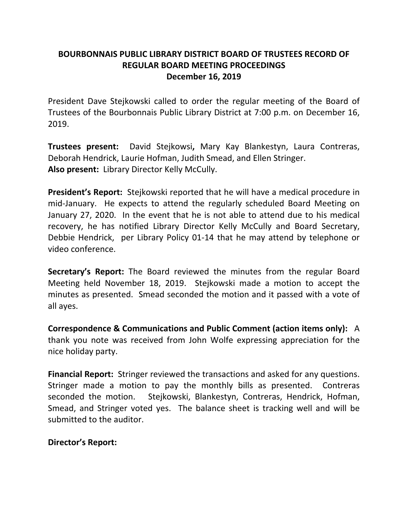# **BOURBONNAIS PUBLIC LIBRARY DISTRICT BOARD OF TRUSTEES RECORD OF REGULAR BOARD MEETING PROCEEDINGS December 16, 2019**

President Dave Stejkowski called to order the regular meeting of the Board of Trustees of the Bourbonnais Public Library District at 7:00 p.m. on December 16, 2019.

**Trustees present:** David Stejkowsi**,** Mary Kay Blankestyn, Laura Contreras, Deborah Hendrick, Laurie Hofman, Judith Smead, and Ellen Stringer. **Also present:** Library Director Kelly McCully.

**President's Report:** Stejkowski reported that he will have a medical procedure in mid-January. He expects to attend the regularly scheduled Board Meeting on January 27, 2020. In the event that he is not able to attend due to his medical recovery, he has notified Library Director Kelly McCully and Board Secretary, Debbie Hendrick, per Library Policy 01-14 that he may attend by telephone or video conference.

**Secretary's Report:** The Board reviewed the minutes from the regular Board Meeting held November 18, 2019. Stejkowski made a motion to accept the minutes as presented. Smead seconded the motion and it passed with a vote of all ayes.

**Correspondence & Communications and Public Comment (action items only):** A thank you note was received from John Wolfe expressing appreciation for the nice holiday party.

**Financial Report:** Stringer reviewed the transactions and asked for any questions. Stringer made a motion to pay the monthly bills as presented. Contreras seconded the motion. Stejkowski, Blankestyn, Contreras, Hendrick, Hofman, Smead, and Stringer voted yes. The balance sheet is tracking well and will be submitted to the auditor.

## **Director's Report:**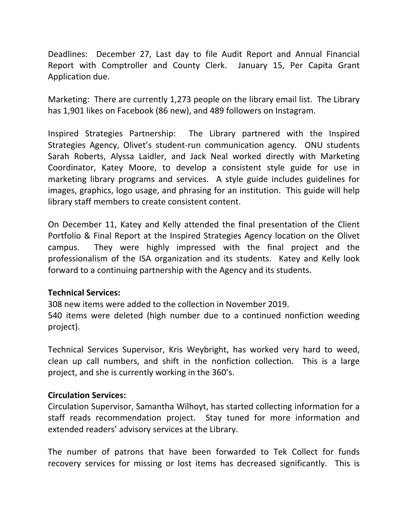Deadlines: December 27, Last day to file Audit Report and Annual Financial Report with Comptroller and County Clerk. January 15, Per Capita Grant Application due.

Marketing: There are currently 1,273 people on the library email list. The Library has 1,901 likes on Facebook (86 new), and 489 followers on Instagram.

Inspired Strategies Partnership: The Library partnered with the Inspired Strategies Agency, Olivet's student-run communication agency. ONU students Sarah Roberts, Alyssa Laidler, and Jack Neal worked directly with Marketing Coordinator, Katey Moore, to develop a consistent style guide for use in marketing library programs and services. A style guide includes guidelines for images, graphics, logo usage, and phrasing for an institution. This guide will help library staff members to create consistent content.

On December 11, Katey and Kelly attended the final presentation of the Client Portfolio & Final Report at the Inspired Strategies Agency location on the Olivet campus. They were highly impressed with the final project and the professionalism of the ISA organization and its students. Katey and Kelly look forward to a continuing partnership with the Agency and its students.

## **Technical Services:**

308 new items were added to the collection in November 2019.

540 items were deleted (high number due to a continued nonfiction weeding project).

Technical Services Supervisor, Kris Weybright, has worked very hard to weed, clean up call numbers, and shift in the nonfiction collection. This is a large project, and she is currently working in the 360's.

### **Circulation Services:**

Circulation Supervisor, Samantha Wilhoyt, has started collecting information for a staff reads recommendation project. Stay tuned for more information and extended readers' advisory services at the Library.

The number of patrons that have been forwarded to Tek Collect for funds recovery services for missing or lost items has decreased significantly. This is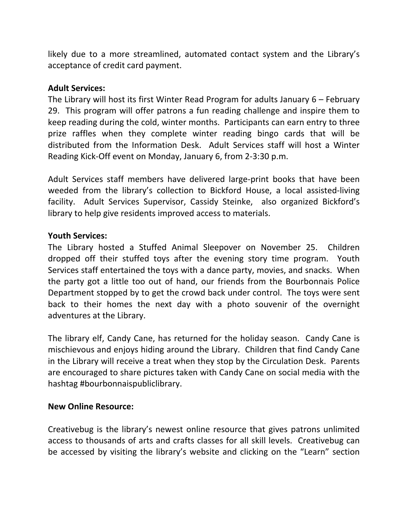likely due to a more streamlined, automated contact system and the Library's acceptance of credit card payment.

## **Adult Services:**

The Library will host its first Winter Read Program for adults January 6 – February 29. This program will offer patrons a fun reading challenge and inspire them to keep reading during the cold, winter months. Participants can earn entry to three prize raffles when they complete winter reading bingo cards that will be distributed from the Information Desk. Adult Services staff will host a Winter Reading Kick-Off event on Monday, January 6, from 2-3:30 p.m.

Adult Services staff members have delivered large-print books that have been weeded from the library's collection to Bickford House, a local assisted-living facility. Adult Services Supervisor, Cassidy Steinke, also organized Bickford's library to help give residents improved access to materials.

## **Youth Services:**

The Library hosted a Stuffed Animal Sleepover on November 25. Children dropped off their stuffed toys after the evening story time program. Youth Services staff entertained the toys with a dance party, movies, and snacks. When the party got a little too out of hand, our friends from the Bourbonnais Police Department stopped by to get the crowd back under control. The toys were sent back to their homes the next day with a photo souvenir of the overnight adventures at the Library.

The library elf, Candy Cane, has returned for the holiday season. Candy Cane is mischievous and enjoys hiding around the Library. Children that find Candy Cane in the Library will receive a treat when they stop by the Circulation Desk. Parents are encouraged to share pictures taken with Candy Cane on social media with the hashtag #bourbonnaispubliclibrary.

### **New Online Resource:**

Creativebug is the library's newest online resource that gives patrons unlimited access to thousands of arts and crafts classes for all skill levels. Creativebug can be accessed by visiting the library's website and clicking on the "Learn" section